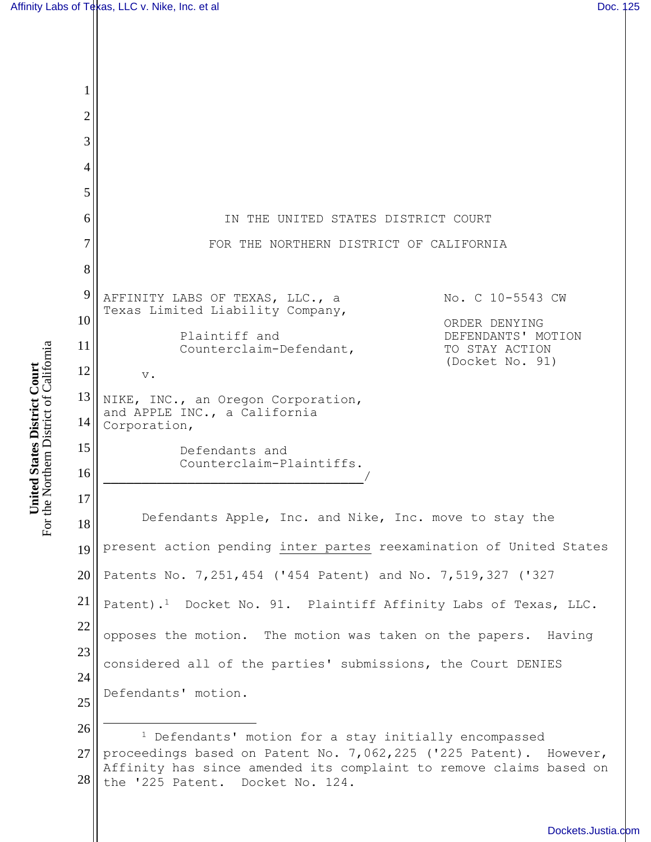|                                                             |              | Affinity Labs of Texas, LLC v. Nike, Inc. et al                                                                                                                             |                    | Doc. 125 |
|-------------------------------------------------------------|--------------|-----------------------------------------------------------------------------------------------------------------------------------------------------------------------------|--------------------|----------|
|                                                             |              |                                                                                                                                                                             |                    |          |
|                                                             |              |                                                                                                                                                                             |                    |          |
|                                                             | $\mathbf{1}$ |                                                                                                                                                                             |                    |          |
|                                                             | $\sqrt{2}$   |                                                                                                                                                                             |                    |          |
|                                                             | 3            |                                                                                                                                                                             |                    |          |
|                                                             | 4            |                                                                                                                                                                             |                    |          |
|                                                             | 5            |                                                                                                                                                                             |                    |          |
|                                                             | 6            | IN THE UNITED STATES DISTRICT COURT                                                                                                                                         |                    |          |
|                                                             | 7            | FOR THE NORTHERN DISTRICT OF CALIFORNIA                                                                                                                                     |                    |          |
|                                                             | 8            |                                                                                                                                                                             |                    |          |
|                                                             | 9            | AFFINITY LABS OF TEXAS, LLC., a<br>Texas Limited Liability Company,                                                                                                         | No. C 10-5543 CW   |          |
|                                                             | 10           | ORDER DENYING<br>Plaintiff and<br>Counterclaim-Defendant,<br>TO STAY ACTION<br>(Docket No. 91)                                                                              | DEFENDANTS' MOTION |          |
|                                                             | 11           |                                                                                                                                                                             |                    |          |
|                                                             | 12           | $\mathbf v$ .                                                                                                                                                               |                    |          |
| them District of California<br><b>States District Court</b> | 13<br>14     | NIKE, INC., an Oregon Corporation,<br>and APPLE INC., a California<br>Corporation,                                                                                          |                    |          |
|                                                             | 15           | Defendants and                                                                                                                                                              |                    |          |
|                                                             | 16           | Counterclaim-Plaintiffs.                                                                                                                                                    |                    |          |
| <b>United</b><br>For the Nort                               | 17           |                                                                                                                                                                             |                    |          |
|                                                             | 18           | Defendants Apple, Inc. and Nike, Inc. move to stay the                                                                                                                      |                    |          |
|                                                             | 19           | present action pending inter partes reexamination of United States                                                                                                          |                    |          |
|                                                             | 20           | Patents No. 7, 251, 454 ('454 Patent) and No. 7, 519, 327 ('327                                                                                                             |                    |          |
|                                                             | 21           | Patent). <sup>1</sup> Docket No. 91. Plaintiff Affinity Labs of Texas, LLC.                                                                                                 |                    |          |
|                                                             | 22           | opposes the motion. The motion was taken on the papers. Having                                                                                                              |                    |          |
|                                                             | 23           | considered all of the parties' submissions, the Court DENIES                                                                                                                |                    |          |
|                                                             | 24           | Defendants' motion.                                                                                                                                                         |                    |          |
|                                                             | 25           |                                                                                                                                                                             |                    |          |
|                                                             | 26           | <sup>1</sup> Defendants' motion for a stay initially encompassed                                                                                                            |                    |          |
|                                                             | 27<br>28     | proceedings based on Patent No. 7,062,225 ('225 Patent). However,<br>Affinity has since amended its complaint to remove claims based on<br>the '225 Patent. Docket No. 124. |                    |          |
|                                                             |              |                                                                                                                                                                             |                    |          |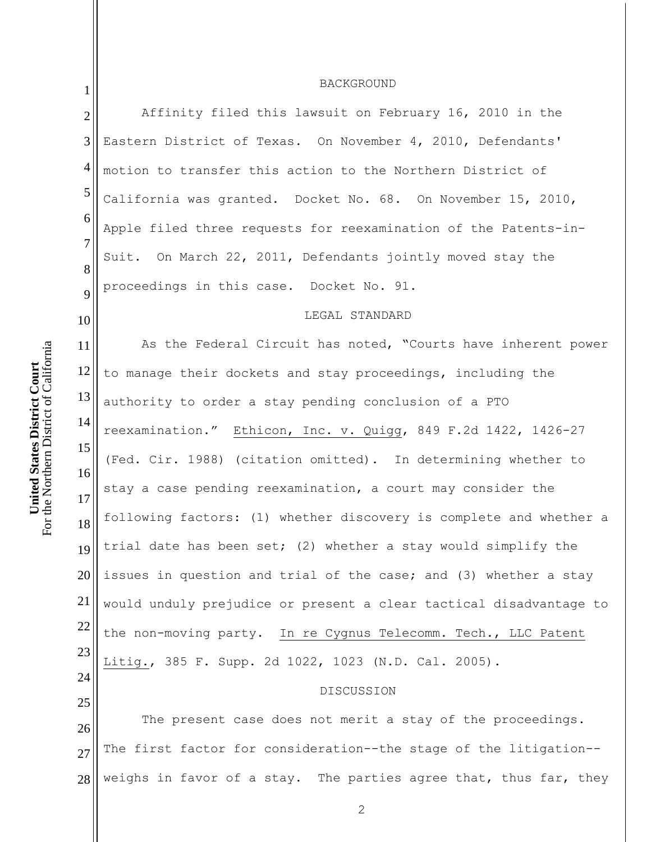| $\mathbf{1}$        | BACKGROUND                                                         |
|---------------------|--------------------------------------------------------------------|
| $\overline{2}$      | Affinity filed this lawsuit on February 16, 2010 in the            |
| 3                   | Eastern District of Texas. On November 4, 2010, Defendants'        |
| $\overline{4}$      | motion to transfer this action to the Northern District of         |
| $\mathfrak{S}$      | California was granted. Docket No. 68. On November 15, 2010,       |
| 6                   | Apple filed three requests for reexamination of the Patents-in-    |
| $\overline{7}$<br>8 | Suit. On March 22, 2011, Defendants jointly moved stay the         |
| 9                   | proceedings in this case. Docket No. 91.                           |
| 10                  | LEGAL STANDARD                                                     |
| 11                  | As the Federal Circuit has noted, "Courts have inherent power      |
| 12                  | to manage their dockets and stay proceedings, including the        |
| 13                  | authority to order a stay pending conclusion of a PTO              |
| 14                  | reexamination." Ethicon, Inc. v. Quigg, 849 F.2d 1422, 1426-27     |
| 15                  | (Fed. Cir. 1988) (citation omitted). In determining whether to     |
| 16<br>17            | stay a case pending reexamination, a court may consider the        |
| 18                  | following factors: (1) whether discovery is complete and whether a |
| 19                  | trial date has been set; (2) whether a stay would simplify the     |
| 20                  | issues in question and trial of the case; and (3) whether a stay   |
| 21                  | would unduly prejudice or present a clear tactical disadvantage to |
| 22                  | the non-moving party. In re Cygnus Telecomm. Tech., LLC Patent     |
| 23                  | Litig., 385 F. Supp. 2d 1022, 1023 (N.D. Cal. 2005).               |
| 24<br>25            | DISCUSSION                                                         |
| 26                  | The present case does not merit a stay of the proceedings.         |
| 27                  | The first factor for consideration--the stage of the litigation--  |
| 28                  | weighs in favor of a stay. The parties agree that, thus far, they  |
|                     |                                                                    |

2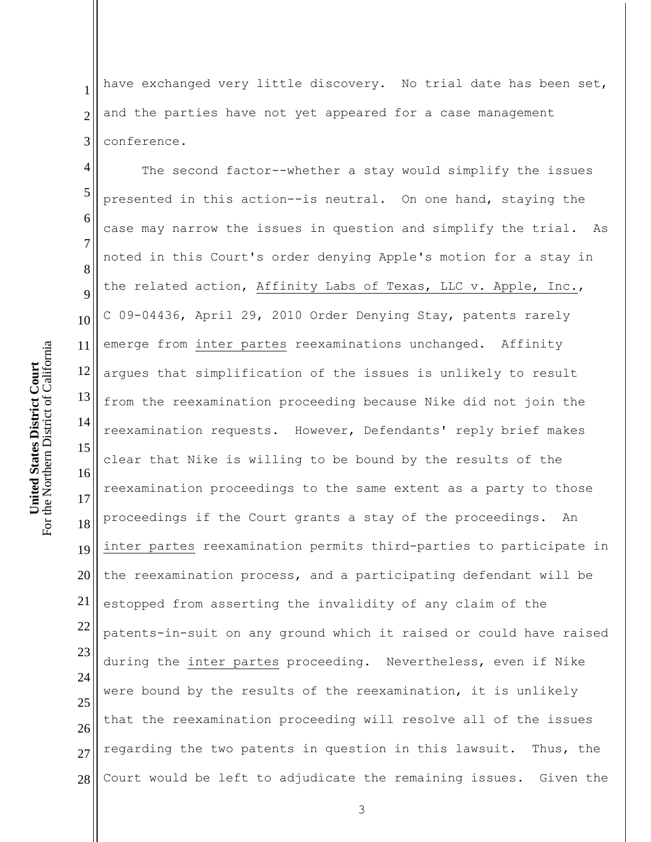1 2 3 have exchanged very little discovery. No trial date has been set, and the parties have not yet appeared for a case management conference.

4 5 6 7 8 9 10 11 12 13 14 15 16 17 18 19 20 21 22 23 24 25 26 27 28 The second factor--whether a stay would simplify the issues presented in this action--is neutral. On one hand, staying the case may narrow the issues in question and simplify the trial. As noted in this Court's order denying Apple's motion for a stay in the related action, Affinity Labs of Texas, LLC v. Apple, Inc., C 09-04436, April 29, 2010 Order Denying Stay, patents rarely emerge from inter partes reexaminations unchanged. Affinity argues that simplification of the issues is unlikely to result from the reexamination proceeding because Nike did not join the reexamination requests. However, Defendants' reply brief makes clear that Nike is willing to be bound by the results of the reexamination proceedings to the same extent as a party to those proceedings if the Court grants a stay of the proceedings. An inter partes reexamination permits third-parties to participate in the reexamination process, and a participating defendant will be estopped from asserting the invalidity of any claim of the patents-in-suit on any ground which it raised or could have raised during the inter partes proceeding. Nevertheless, even if Nike were bound by the results of the reexamination, it is unlikely that the reexamination proceeding will resolve all of the issues regarding the two patents in question in this lawsuit. Thus, the Court would be left to adjudicate the remaining issues. Given the

3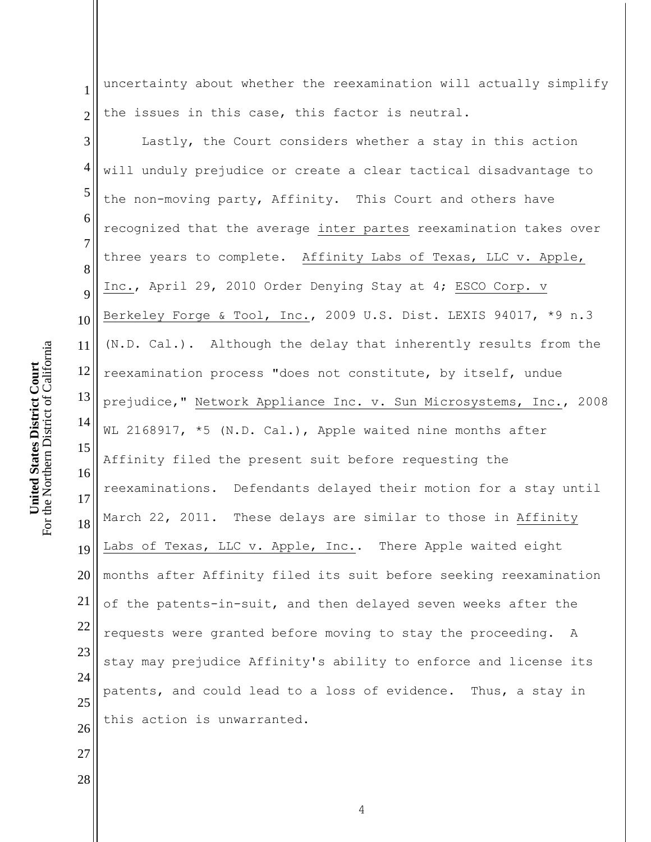1 2 uncertainty about whether the reexamination will actually simplify the issues in this case, this factor is neutral.

3 4 5 6 7 8 9 10 11 12 13 14 15 16 17 18 19 20 21 22 23 24 25 26 Lastly, the Court considers whether a stay in this action will unduly prejudice or create a clear tactical disadvantage to the non-moving party, Affinity. This Court and others have recognized that the average inter partes reexamination takes over three years to complete. Affinity Labs of Texas, LLC v. Apple, Inc., April 29, 2010 Order Denying Stay at 4; ESCO Corp. v Berkeley Forge & Tool, Inc., 2009 U.S. Dist. LEXIS 94017, \*9 n.3 (N.D. Cal.). Although the delay that inherently results from the reexamination process "does not constitute, by itself, undue prejudice," Network Appliance Inc. v. Sun Microsystems, Inc., 2008 WL 2168917, \*5 (N.D. Cal.), Apple waited nine months after Affinity filed the present suit before requesting the reexaminations. Defendants delayed their motion for a stay until March 22, 2011. These delays are similar to those in Affinity Labs of Texas, LLC v. Apple, Inc.. There Apple waited eight months after Affinity filed its suit before seeking reexamination of the patents-in-suit, and then delayed seven weeks after the requests were granted before moving to stay the proceeding. A stay may prejudice Affinity's ability to enforce and license its patents, and could lead to a loss of evidence. Thus, a stay in this action is unwarranted.

27

28

4